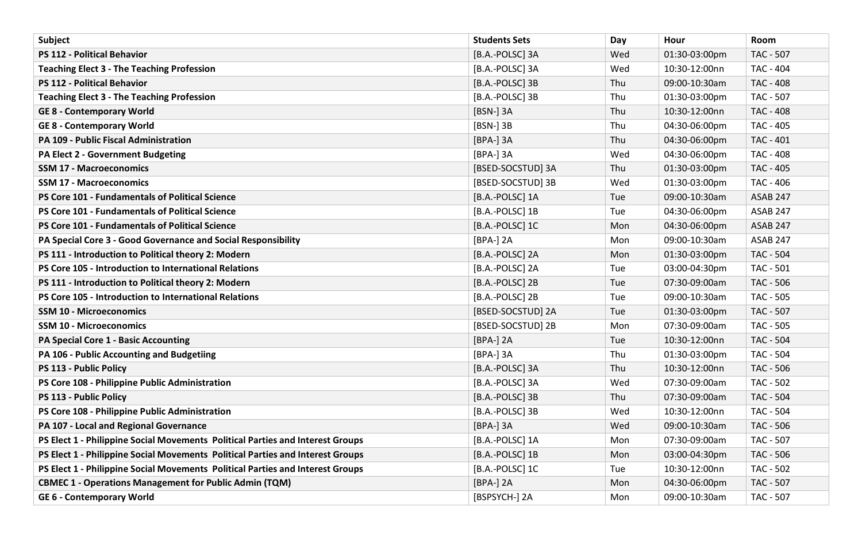| Subject                                                                        | <b>Students Sets</b> | Day | Hour          | Room             |
|--------------------------------------------------------------------------------|----------------------|-----|---------------|------------------|
| PS 112 - Political Behavior                                                    | [B.A.-POLSC] 3A      | Wed | 01:30-03:00pm | <b>TAC - 507</b> |
| <b>Teaching Elect 3 - The Teaching Profession</b>                              | [B.A.-POLSC] 3A      | Wed | 10:30-12:00nn | <b>TAC - 404</b> |
| <b>PS 112 - Political Behavior</b>                                             | [B.A.-POLSC] 3B      | Thu | 09:00-10:30am | <b>TAC - 408</b> |
| <b>Teaching Elect 3 - The Teaching Profession</b>                              | [B.A.-POLSC] 3B      | Thu | 01:30-03:00pm | <b>TAC - 507</b> |
| <b>GE 8 - Contemporary World</b>                                               | [BSN-] 3A            | Thu | 10:30-12:00nn | <b>TAC - 408</b> |
| <b>GE 8 - Contemporary World</b>                                               | [BSN-] 3B            | Thu | 04:30-06:00pm | <b>TAC - 405</b> |
| PA 109 - Public Fiscal Administration                                          | [BPA-] 3A            | Thu | 04:30-06:00pm | <b>TAC - 401</b> |
| PA Elect 2 - Government Budgeting                                              | [BPA-] 3A            | Wed | 04:30-06:00pm | <b>TAC - 408</b> |
| <b>SSM 17 - Macroeconomics</b>                                                 | [BSED-SOCSTUD] 3A    | Thu | 01:30-03:00pm | <b>TAC - 405</b> |
| <b>SSM 17 - Macroeconomics</b>                                                 | [BSED-SOCSTUD] 3B    | Wed | 01:30-03:00pm | TAC - 406        |
| PS Core 101 - Fundamentals of Political Science                                | [B.A.-POLSC] 1A      | Tue | 09:00-10:30am | <b>ASAB 247</b>  |
| PS Core 101 - Fundamentals of Political Science                                | [B.A.-POLSC] 1B      | Tue | 04:30-06:00pm | <b>ASAB 247</b>  |
| PS Core 101 - Fundamentals of Political Science                                | [B.A.-POLSC] 1C      | Mon | 04:30-06:00pm | <b>ASAB 247</b>  |
| PA Special Core 3 - Good Governance and Social Responsibility                  | [BPA-] 2A            | Mon | 09:00-10:30am | <b>ASAB 247</b>  |
| PS 111 - Introduction to Political theory 2: Modern                            | [B.A.-POLSC] 2A      | Mon | 01:30-03:00pm | <b>TAC - 504</b> |
| PS Core 105 - Introduction to International Relations                          | [B.A.-POLSC] 2A      | Tue | 03:00-04:30pm | <b>TAC - 501</b> |
| PS 111 - Introduction to Political theory 2: Modern                            | [B.A.-POLSC] 2B      | Tue | 07:30-09:00am | <b>TAC - 506</b> |
| <b>PS Core 105 - Introduction to International Relations</b>                   | [B.A.-POLSC] 2B      | Tue | 09:00-10:30am | <b>TAC - 505</b> |
| SSM 10 - Microeconomics                                                        | [BSED-SOCSTUD] 2A    | Tue | 01:30-03:00pm | <b>TAC - 507</b> |
| <b>SSM 10 - Microeconomics</b>                                                 | [BSED-SOCSTUD] 2B    | Mon | 07:30-09:00am | <b>TAC - 505</b> |
| <b>PA Special Core 1 - Basic Accounting</b>                                    | [BPA-] 2A            | Tue | 10:30-12:00nn | <b>TAC - 504</b> |
| PA 106 - Public Accounting and Budgetiing                                      | [BPA-] 3A            | Thu | 01:30-03:00pm | <b>TAC - 504</b> |
| PS 113 - Public Policy                                                         | [B.A.-POLSC] 3A      | Thu | 10:30-12:00nn | TAC - 506        |
| PS Core 108 - Philippine Public Administration                                 | [B.A.-POLSC] 3A      | Wed | 07:30-09:00am | <b>TAC - 502</b> |
| PS 113 - Public Policy                                                         | [B.A.-POLSC] 3B      | Thu | 07:30-09:00am | <b>TAC - 504</b> |
| PS Core 108 - Philippine Public Administration                                 | [B.A.-POLSC] 3B      | Wed | 10:30-12:00nn | <b>TAC - 504</b> |
| PA 107 - Local and Regional Governance                                         | [BPA-] 3A            | Wed | 09:00-10:30am | <b>TAC - 506</b> |
| PS Elect 1 - Philippine Social Movements Political Parties and Interest Groups | [B.A.-POLSC] 1A      | Mon | 07:30-09:00am | <b>TAC - 507</b> |
| PS Elect 1 - Philippine Social Movements Political Parties and Interest Groups | [B.A.-POLSC] 1B      | Mon | 03:00-04:30pm | <b>TAC - 506</b> |
| PS Elect 1 - Philippine Social Movements Political Parties and Interest Groups | [B.A.-POLSC] 1C      | Tue | 10:30-12:00nn | <b>TAC - 502</b> |
| <b>CBMEC 1 - Operations Management for Public Admin (TQM)</b>                  | [BPA-] 2A            | Mon | 04:30-06:00pm | <b>TAC - 507</b> |
| <b>GE 6 - Contemporary World</b>                                               | [BSPSYCH-] 2A        | Mon | 09:00-10:30am | <b>TAC - 507</b> |